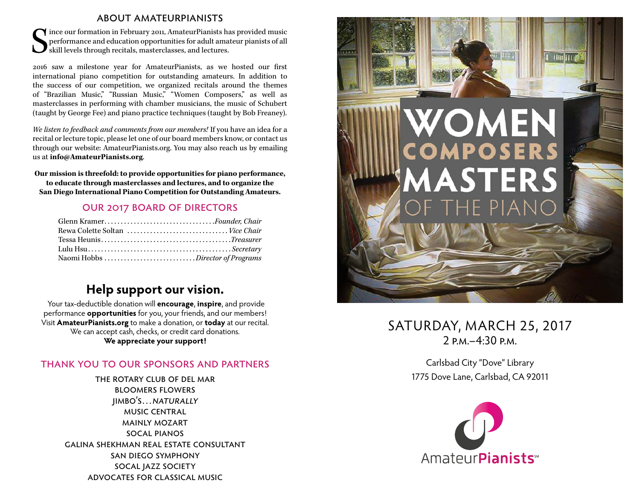#### about amateurpianists

S ince our formation in February 2011, AmateurPianists has provided music performance and education opportunities for adult amateur pianists of all skill levels through recitals, masterclasses, and lectures.

2016 saw a milestone year for AmateurPianists, as we hosted our first international piano competition for outstanding amateurs. In addition to the success of our competition, we organized recitals around the themes of "Brazilian Music," "Russian Music," "Women Composers," as well as masterclasses in performing with chamber musicians, the music of Schubert (taught by George Fee) and piano practice techniques (taught by Bob Freaney).

*We listen to feedback and comments from our members!* If you have an idea for a recital or lecture topic, please let one of our board members know, or contact us through our website: AmateurPianists.org. You may also reach us by emailing us at **info@AmateurPianists.org**.

**Our mission is threefold: to provide opportunities for piano performance, to educate through masterclasses and lectures, and to organize the San Diego International Piano Competition for Outstanding Amateurs.**

#### our 2017 board of directors

| Glenn KramerFounder, Chair       |  |
|----------------------------------|--|
| Rewa Colette Soltan  Vice Chair  |  |
|                                  |  |
|                                  |  |
| Naomi Hobbs Director of Programs |  |

## **Help support our vision.**

Your tax-deductible donation will **encourage**, **inspire**, and provide performance **opportunities** for you, your friends, and our members! Visit **AmateurPianists.org** to make a donation, or **today** at our recital. We can accept cash, checks, or credit card donations. **We appreciate your support!**

#### thank you to our sponsors and partners

the rotary club of del mar bloomers flowers jimbo's…naturally music central mainly mozart socal pianos galina shekhman real estate consultant san diego symphony socal jazz society advocates for classical music



# SATURDAY, MARCH 25, 2017  $2 P.M = 4:30 P.M$

Carlsbad City "Dove" Library 1775 Dove Lane, Carlsbad, CA 92011